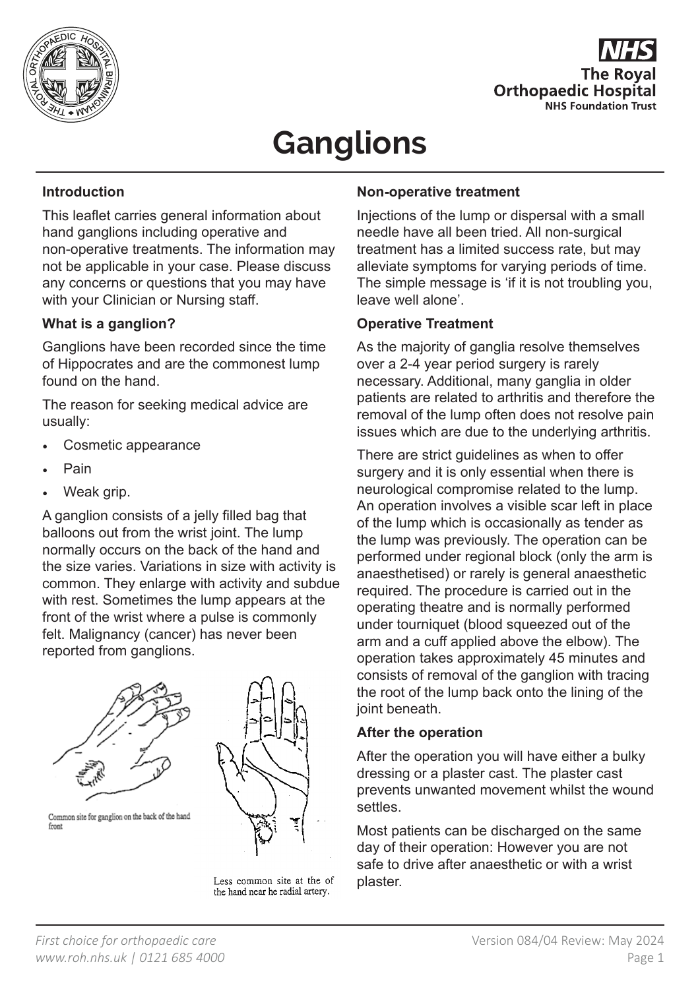



# **Ganglions**

# **Introduction**

This leaflet carries general information about hand ganglions including operative and non-operative treatments. The information may not be applicable in your case. Please discuss any concerns or questions that you may have with your Clinician or Nursing staff.

# **What is a ganglion?**

Ganglions have been recorded since the time of Hippocrates and are the commonest lump found on the hand.

The reason for seeking medical advice are usually:

- Cosmetic appearance
- Pain
- Weak grip.

A ganglion consists of a jelly filled bag that balloons out from the wrist joint. The lump normally occurs on the back of the hand and the size varies. Variations in size with activity is common. They enlarge with activity and subdue with rest. Sometimes the lump appears at the front of the wrist where a pulse is commonly felt. Malignancy (cancer) has never been reported from ganglions.





Common site for ganglion on the back of the hand front

Less common site at the of the hand near he radial artery.

#### **Non-operative treatment**

Injections of the lump or dispersal with a small needle have all been tried. All non-surgical treatment has a limited success rate, but may alleviate symptoms for varying periods of time. The simple message is 'if it is not troubling you, leave well alone'.

#### **Operative Treatment**

As the majority of ganglia resolve themselves over a 2-4 year period surgery is rarely necessary. Additional, many ganglia in older patients are related to arthritis and therefore the removal of the lump often does not resolve pain issues which are due to the underlying arthritis.

There are strict guidelines as when to offer surgery and it is only essential when there is neurological compromise related to the lump. An operation involves a visible scar left in place of the lump which is occasionally as tender as the lump was previously. The operation can be performed under regional block (only the arm is anaesthetised) or rarely is general anaesthetic required. The procedure is carried out in the operating theatre and is normally performed under tourniquet (blood squeezed out of the arm and a cuff applied above the elbow). The operation takes approximately 45 minutes and consists of removal of the ganglion with tracing the root of the lump back onto the lining of the joint beneath.

#### **After the operation**

After the operation you will have either a bulky dressing or a plaster cast. The plaster cast prevents unwanted movement whilst the wound settles.

Most patients can be discharged on the same day of their operation: However you are not safe to drive after anaesthetic or with a wrist plaster.